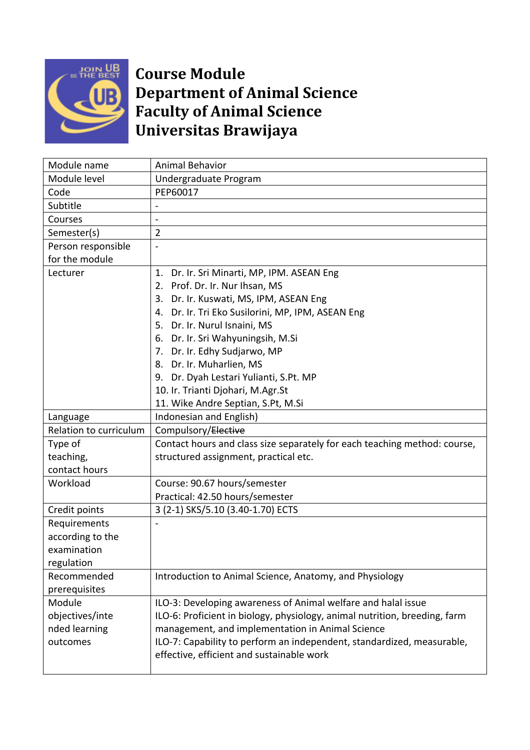

## **Course Module Department of Animal Science Faculty of Animal Science Universitas Brawijaya**

| Module name            | <b>Animal Behavior</b>                                                     |
|------------------------|----------------------------------------------------------------------------|
| Module level           | Undergraduate Program                                                      |
| Code                   | PEP60017                                                                   |
| Subtitle               |                                                                            |
| Courses                | $\overline{a}$                                                             |
| Semester(s)            | $\overline{2}$                                                             |
| Person responsible     |                                                                            |
| for the module         |                                                                            |
| Lecturer               | Dr. Ir. Sri Minarti, MP, IPM. ASEAN Eng<br>1.                              |
|                        | 2. Prof. Dr. Ir. Nur Ihsan, MS                                             |
|                        | 3. Dr. Ir. Kuswati, MS, IPM, ASEAN Eng                                     |
|                        | 4. Dr. Ir. Tri Eko Susilorini, MP, IPM, ASEAN Eng                          |
|                        | 5. Dr. Ir. Nurul Isnaini, MS                                               |
|                        | 6. Dr. Ir. Sri Wahyuningsih, M.Si                                          |
|                        | 7. Dr. Ir. Edhy Sudjarwo, MP                                               |
|                        | 8. Dr. Ir. Muharlien, MS                                                   |
|                        | 9. Dr. Dyah Lestari Yulianti, S.Pt. MP                                     |
|                        | 10. Ir. Trianti Djohari, M.Agr.St                                          |
|                        | 11. Wike Andre Septian, S.Pt, M.Si                                         |
| Language               | Indonesian and English)                                                    |
| Relation to curriculum | Compulsory/Elective                                                        |
| Type of                | Contact hours and class size separately for each teaching method: course,  |
| teaching,              | structured assignment, practical etc.                                      |
| contact hours          |                                                                            |
| Workload               | Course: 90.67 hours/semester                                               |
|                        | Practical: 42.50 hours/semester                                            |
| Credit points          | 3 (2-1) SKS/5.10 (3.40-1.70) ECTS                                          |
| Requirements           |                                                                            |
| according to the       |                                                                            |
| examination            |                                                                            |
| regulation             |                                                                            |
| Recommended            | Introduction to Animal Science, Anatomy, and Physiology                    |
| prerequisites          |                                                                            |
| Module                 | ILO-3: Developing awareness of Animal welfare and halal issue              |
| objectives/inte        | ILO-6: Proficient in biology, physiology, animal nutrition, breeding, farm |
| nded learning          | management, and implementation in Animal Science                           |
| outcomes               | ILO-7: Capability to perform an independent, standardized, measurable,     |
|                        | effective, efficient and sustainable work                                  |
|                        |                                                                            |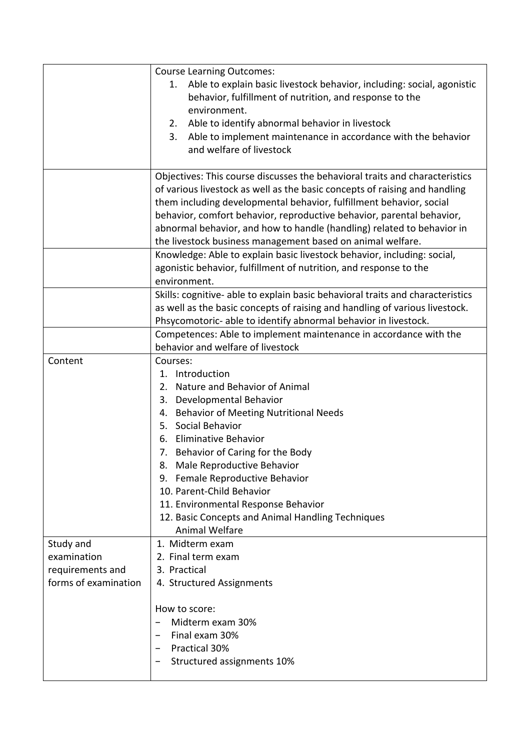|                      | <b>Course Learning Outcomes:</b>                                               |
|----------------------|--------------------------------------------------------------------------------|
|                      | Able to explain basic livestock behavior, including: social, agonistic<br>1.   |
|                      | behavior, fulfillment of nutrition, and response to the                        |
|                      | environment.                                                                   |
|                      | Able to identify abnormal behavior in livestock<br>2.                          |
|                      | Able to implement maintenance in accordance with the behavior<br>3.            |
|                      | and welfare of livestock                                                       |
|                      |                                                                                |
|                      | Objectives: This course discusses the behavioral traits and characteristics    |
|                      | of various livestock as well as the basic concepts of raising and handling     |
|                      | them including developmental behavior, fulfillment behavior, social            |
|                      | behavior, comfort behavior, reproductive behavior, parental behavior,          |
|                      | abnormal behavior, and how to handle (handling) related to behavior in         |
|                      | the livestock business management based on animal welfare.                     |
|                      | Knowledge: Able to explain basic livestock behavior, including: social,        |
|                      | agonistic behavior, fulfillment of nutrition, and response to the              |
|                      | environment.                                                                   |
|                      | Skills: cognitive- able to explain basic behavioral traits and characteristics |
|                      | as well as the basic concepts of raising and handling of various livestock.    |
|                      | Phsycomotoric- able to identify abnormal behavior in livestock.                |
|                      | Competences: Able to implement maintenance in accordance with the              |
|                      | behavior and welfare of livestock                                              |
| Content              | Courses:                                                                       |
|                      | 1. Introduction                                                                |
|                      | 2. Nature and Behavior of Animal                                               |
|                      | 3. Developmental Behavior                                                      |
|                      | 4. Behavior of Meeting Nutritional Needs                                       |
|                      | 5. Social Behavior                                                             |
|                      | 6. Eliminative Behavior                                                        |
|                      | 7. Behavior of Caring for the Body                                             |
|                      | 8. Male Reproductive Behavior                                                  |
|                      | Female Reproductive Behavior<br>9.                                             |
|                      | 10. Parent-Child Behavior                                                      |
|                      | 11. Environmental Response Behavior                                            |
|                      | 12. Basic Concepts and Animal Handling Techniques                              |
|                      | <b>Animal Welfare</b>                                                          |
| Study and            | 1. Midterm exam                                                                |
| examination          | 2. Final term exam                                                             |
| requirements and     | 3. Practical                                                                   |
| forms of examination | 4. Structured Assignments                                                      |
|                      |                                                                                |
|                      | How to score:                                                                  |
|                      | Midterm exam 30%                                                               |
|                      | Final exam 30%                                                                 |
|                      | Practical 30%                                                                  |
|                      | Structured assignments 10%                                                     |
|                      |                                                                                |